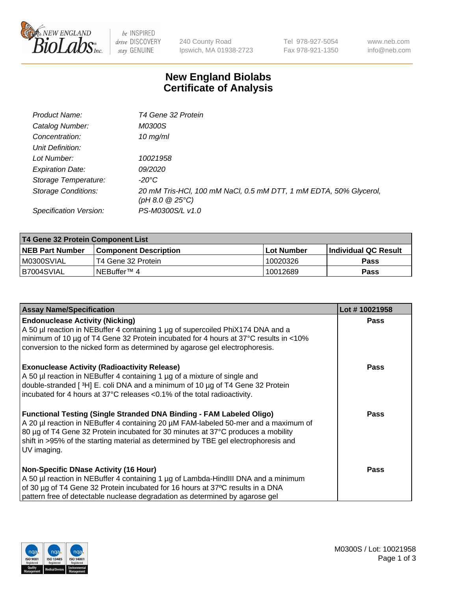

 $be$  INSPIRED drive DISCOVERY stay GENUINE

240 County Road Ipswich, MA 01938-2723 Tel 978-927-5054 Fax 978-921-1350 www.neb.com info@neb.com

## **New England Biolabs Certificate of Analysis**

| Product Name:           | T4 Gene 32 Protein                                                                     |
|-------------------------|----------------------------------------------------------------------------------------|
| Catalog Number:         | <i>M0300S</i>                                                                          |
| Concentration:          | 10 $mg/ml$                                                                             |
| Unit Definition:        |                                                                                        |
| Lot Number:             | 10021958                                                                               |
| <b>Expiration Date:</b> | <i>09/2020</i>                                                                         |
| Storage Temperature:    | -20°C                                                                                  |
| Storage Conditions:     | 20 mM Tris-HCl, 100 mM NaCl, 0.5 mM DTT, 1 mM EDTA, 50% Glycerol,<br>(pH 8.0 $@25°C$ ) |
| Specification Version:  | PS-M0300S/L v1.0                                                                       |

| T4 Gene 32 Protein Component List |                              |            |                             |  |
|-----------------------------------|------------------------------|------------|-----------------------------|--|
| <b>NEB Part Number</b>            | <b>Component Description</b> | Lot Number | <b>Individual QC Result</b> |  |
| M0300SVIAL                        | T4 Gene 32 Protein           | 10020326   | <b>Pass</b>                 |  |
| IB7004SVIAL                       | INEBuffer™ 4                 | 10012689   | Pass                        |  |

| <b>Assay Name/Specification</b>                                                                                                                                                                                                                                                                                                                              | Lot #10021958 |
|--------------------------------------------------------------------------------------------------------------------------------------------------------------------------------------------------------------------------------------------------------------------------------------------------------------------------------------------------------------|---------------|
| <b>Endonuclease Activity (Nicking)</b><br>A 50 µl reaction in NEBuffer 4 containing 1 µg of supercoiled PhiX174 DNA and a<br>minimum of 10 µg of T4 Gene 32 Protein incubated for 4 hours at 37°C results in <10%<br>conversion to the nicked form as determined by agarose gel electrophoresis.                                                             | <b>Pass</b>   |
| <b>Exonuclease Activity (Radioactivity Release)</b><br>A 50 µl reaction in NEBuffer 4 containing 1 µg of a mixture of single and<br>double-stranded [3H] E. coli DNA and a minimum of 10 µg of T4 Gene 32 Protein<br>incubated for 4 hours at 37°C releases <0.1% of the total radioactivity.                                                                | <b>Pass</b>   |
| <b>Functional Testing (Single Stranded DNA Binding - FAM Labeled Oligo)</b><br>A 20 µl reaction in NEBuffer 4 containing 20 µM FAM-labeled 50-mer and a maximum of<br>80 µg of T4 Gene 32 Protein incubated for 30 minutes at 37°C produces a mobility<br>shift in >95% of the starting material as determined by TBE gel electrophoresis and<br>UV imaging. | Pass          |
| <b>Non-Specific DNase Activity (16 Hour)</b><br>A 50 µl reaction in NEBuffer 4 containing 1 µg of Lambda-HindIII DNA and a minimum<br>of 30 µg of T4 Gene 32 Protein incubated for 16 hours at 37°C results in a DNA<br>pattern free of detectable nuclease degradation as determined by agarose gel                                                         | <b>Pass</b>   |

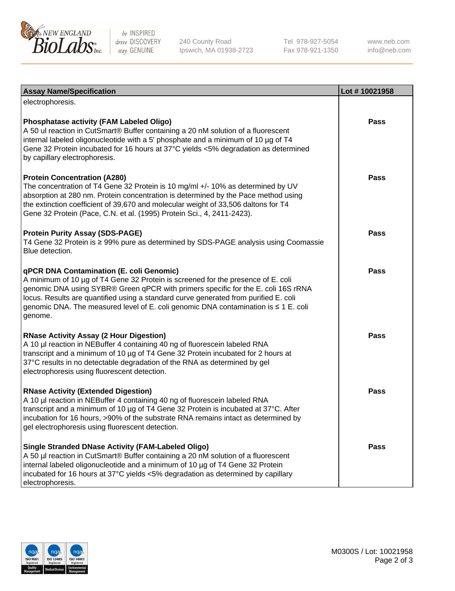

be INSPIRED drive DISCOVERY stay GENUINE

240 County Road Ipswich, MA 01938-2723 Tel 978-927-5054 Fax 978-921-1350

www.neb.com info@neb.com

| <b>Assay Name/Specification</b>                                                                                                                                                                                                                                                                                                                                                                             | Lot #10021958 |
|-------------------------------------------------------------------------------------------------------------------------------------------------------------------------------------------------------------------------------------------------------------------------------------------------------------------------------------------------------------------------------------------------------------|---------------|
| electrophoresis.                                                                                                                                                                                                                                                                                                                                                                                            |               |
| <b>Phosphatase activity (FAM Labeled Oligo)</b><br>A 50 ul reaction in CutSmart® Buffer containing a 20 nM solution of a fluorescent<br>internal labeled oligonucleotide with a 5' phosphate and a minimum of 10 µg of T4<br>Gene 32 Protein incubated for 16 hours at 37°C yields <5% degradation as determined<br>by capillary electrophoresis.                                                           | Pass          |
| <b>Protein Concentration (A280)</b><br>The concentration of T4 Gene 32 Protein is 10 mg/ml +/- 10% as determined by UV<br>absorption at 280 nm. Protein concentration is determined by the Pace method using<br>the extinction coefficient of 39,670 and molecular weight of 33,506 daltons for T4<br>Gene 32 Protein (Pace, C.N. et al. (1995) Protein Sci., 4, 2411-2423).                                | <b>Pass</b>   |
| <b>Protein Purity Assay (SDS-PAGE)</b><br>T4 Gene 32 Protein is ≥ 99% pure as determined by SDS-PAGE analysis using Coomassie<br>Blue detection.                                                                                                                                                                                                                                                            | <b>Pass</b>   |
| qPCR DNA Contamination (E. coli Genomic)<br>A minimum of 10 µg of T4 Gene 32 Protein is screened for the presence of E. coli<br>genomic DNA using SYBR® Green qPCR with primers specific for the E. coli 16S rRNA<br>locus. Results are quantified using a standard curve generated from purified E. coli<br>genomic DNA. The measured level of E. coli genomic DNA contamination is ≤ 1 E. coli<br>genome. | <b>Pass</b>   |
| <b>RNase Activity Assay (2 Hour Digestion)</b><br>A 10 µl reaction in NEBuffer 4 containing 40 ng of fluorescein labeled RNA<br>transcript and a minimum of 10 µg of T4 Gene 32 Protein incubated for 2 hours at<br>37°C results in no detectable degradation of the RNA as determined by gel<br>electrophoresis using fluorescent detection.                                                               | <b>Pass</b>   |
| <b>RNase Activity (Extended Digestion)</b><br>A 10 µl reaction in NEBuffer 4 containing 40 ng of fluorescein labeled RNA<br>transcript and a minimum of 10 µg of T4 Gene 32 Protein is incubated at 37°C. After<br>incubation for 16 hours, >90% of the substrate RNA remains intact as determined by<br>gel electrophoresis using fluorescent detection.                                                   | Pass          |
| <b>Single Stranded DNase Activity (FAM-Labeled Oligo)</b><br>A 50 µl reaction in CutSmart® Buffer containing a 20 nM solution of a fluorescent<br>internal labeled oligonucleotide and a minimum of 10 µg of T4 Gene 32 Protein<br>incubated for 16 hours at 37°C yields <5% degradation as determined by capillary<br>electrophoresis.                                                                     | <b>Pass</b>   |